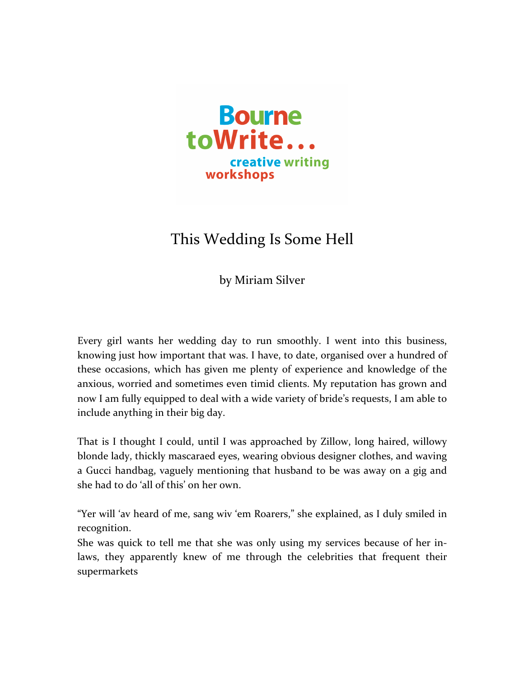

## This Wedding Is Some Hell

by Miriam Silver

Every girl wants her wedding day to run smoothly. I went into this business, knowing just how important that was. I have, to date, organised over a hundred of these occasions, which has given me plenty of experience and knowledge of the anxious, worried and sometimes even timid clients. My reputation has grown and now I am fully equipped to deal with a wide variety of bride's requests, I am able to include anything in their big day.

That is I thought I could, until I was approached by Zillow, long haired, willowy blonde lady, thickly mascaraed eyes, wearing obvious designer clothes, and waving a Gucci handbag, vaguely mentioning that husband to be was away on a gig and she had to do 'all of this' on her own.

"Yer will 'av heard of me, sang wiv 'em Roarers," she explained, as I duly smiled in recognition. 

She was quick to tell me that she was only using my services because of her inlaws, they apparently knew of me through the celebrities that frequent their supermarkets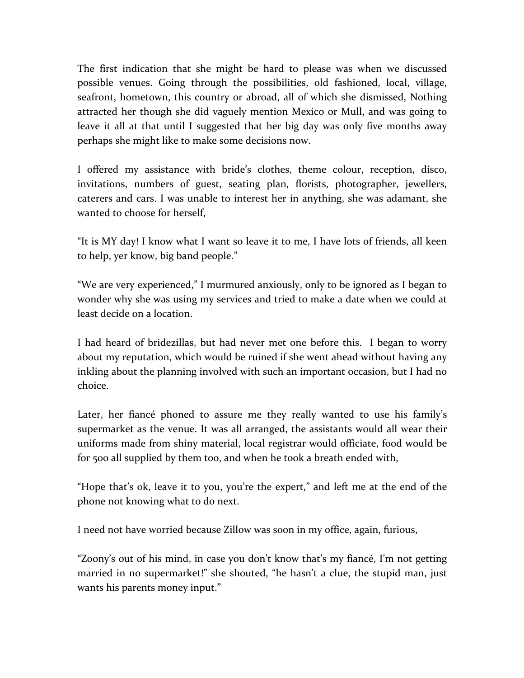The first indication that she might be hard to please was when we discussed possible venues. Going through the possibilities, old fashioned, local, village, seafront, hometown, this country or abroad, all of which she dismissed, Nothing attracted her though she did vaguely mention Mexico or Mull, and was going to leave it all at that until I suggested that her big day was only five months away perhaps she might like to make some decisions now.

I offered my assistance with bride's clothes, theme colour, reception, disco, invitations, numbers of guest, seating plan, florists, photographer, jewellers, caterers and cars. I was unable to interest her in anything, she was adamant, she wanted to choose for herself,

"It is MY day! I know what I want so leave it to me, I have lots of friends, all keen to help, yer know, big band people."

"We are very experienced," I murmured anxiously, only to be ignored as I began to wonder why she was using my services and tried to make a date when we could at least decide on a location.

I had heard of bridezillas, but had never met one before this. I began to worry about my reputation, which would be ruined if she went ahead without having any inkling about the planning involved with such an important occasion, but I had no choice. 

Later, her fiancé phoned to assure me they really wanted to use his family's supermarket as the venue. It was all arranged, the assistants would all wear their uniforms made from shiny material, local registrar would officiate, food would be for 500 all supplied by them too, and when he took a breath ended with,

"Hope that's ok, leave it to you, you're the expert," and left me at the end of the phone not knowing what to do next.

I need not have worried because Zillow was soon in my office, again, furious,

"Zoony's out of his mind, in case you don't know that's my fiancé, I'm not getting married in no supermarket!" she shouted, "he hasn't a clue, the stupid man, just wants his parents money input."